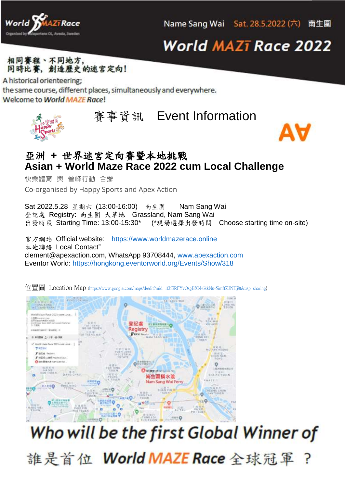

## **World MAZī Race 2022**



A historical orienteering; the same course, different places, simultaneously and everywhere. Welcome to World MAZE Race!

賽事資訊 Event Information



快樂體育 與 晉峰行動 合辦 Co-organised by Happy Sports and Apex Action

Sat 2022.5.28 星期六 (13:00-16:00) 南生圍 Nam Sang Wai 登記處 Registry: 南生圍 大草地 Grassland, Nam Sang Wai 出發時段 Starting Time: 13:00-15:30\* (\*現場選擇出發時間 Choose starting time on-site)

官方網站 Official website: [https://www.worldmazerace.online](https://www.worldmazerace.online/) 本地聯絡 Local Contact" clement@apexaction.com, WhatsApp 93708444, [www.apexaction.com](http://www.apexaction.com/) Eventor World:<https://hongkong.eventorworld.org/Events/Show/318>

World Moze Book 9525 cam Lone 登記處 Registry www.minasour.industrial.com ------/ Weld Maze flace 2027 com Local. **TRIBE MO FAN HEUNO** # BOW SHOW CHUN NAM F IEBRIZZER MATERICOA **O pullment** for the olitic  $\circ$ **THRON** WAND CHAN **SHA PD TSUEN** 南生圖橫水渡 Nam Sang Wai Ferry **FRATE** ö  $n^{\alpha+1}$  $10 - 710$ 

位置圖 Location Map [\(https://www.google.com/maps/d/edit?mid=10bERFYvOsgBXN-6kkNu-5imffZ3NHj8t&usp=sharing](https://www.google.com/maps/d/edit?mid=10bERFYvOsgBXN-6kkNu-5imffZ3NHj8t&usp=sharing))

## Who will be the first Global Winner of

誰是首位 World MAZE Race 全球冠軍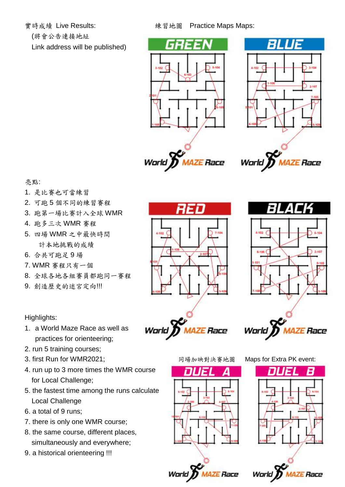(將會公告連接地址

Link address will be published)





World) **AZE Race** 



亮點:

- 1. 是比賽也可當練習
- 2. 可跑 5 個不同的練習賽程
- 3. 跑第一場比賽計入全球 WMR
- 4. 跑多三次 WMR 賽程
- 5. 四場 WMR 之中最快時間 計本地挑戰的成績
- 6. 合共可跑足 9 場
- 7. WMR 賽程只有一個
- 8. 全球各地各組賽員都跑同一賽程
- 9. 創造歷史的迷宮定向!!!

Highlights:

- 1. a World Maze Race as well as practices for orienteering;
- 2. run 5 training courses;
- 3. first Run for WMR2021; 同場加映對決賽地圖 Maps for Extra PK event:
- 4. run up to 3 more times the WMR course for Local Challenge;
- 5. the fastest time among the runs calculate Local Challenge
- 6. a total of 9 runs;
- 7. there is only one WMR course;
- 8. the same course, different places, simultaneously and everywhere;
- 9. a historical orienteering !!!













**Warld AZE Race**